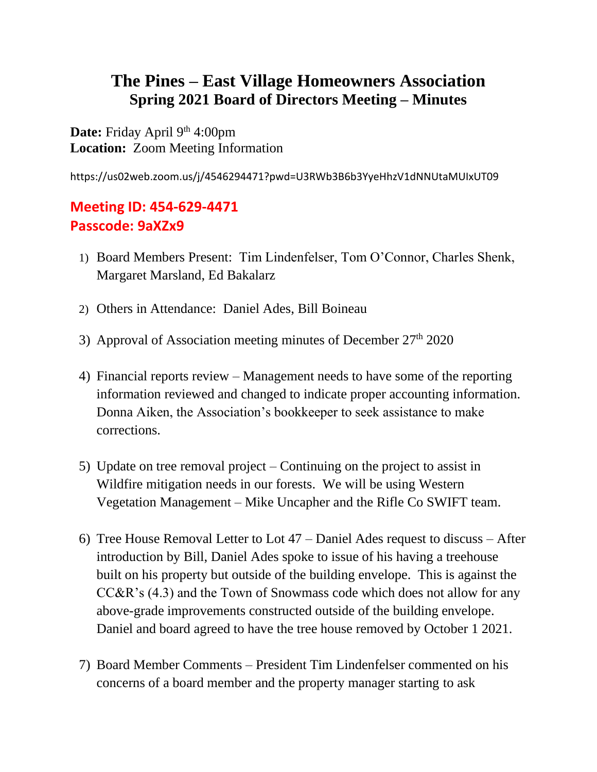## **The Pines – East Village Homeowners Association Spring 2021 Board of Directors Meeting – Minutes**

Date: Friday April 9<sup>th</sup> 4:00pm **Location:** Zoom Meeting Information

https://us02web.zoom.us/j/4546294471?pwd=U3RWb3B6b3YyeHhzV1dNNUtaMUIxUT09

## **Meeting ID: 454-629-4471 Passcode: 9aXZx9**

- 1) Board Members Present: Tim Lindenfelser, Tom O'Connor, Charles Shenk, Margaret Marsland, Ed Bakalarz
- 2) Others in Attendance: Daniel Ades, Bill Boineau
- 3) Approval of Association meeting minutes of December  $27<sup>th</sup> 2020$
- 4) Financial reports review Management needs to have some of the reporting information reviewed and changed to indicate proper accounting information. Donna Aiken, the Association's bookkeeper to seek assistance to make corrections.
- 5) Update on tree removal project Continuing on the project to assist in Wildfire mitigation needs in our forests. We will be using Western Vegetation Management – Mike Uncapher and the Rifle Co SWIFT team.
- 6) Tree House Removal Letter to Lot 47 Daniel Ades request to discuss After introduction by Bill, Daniel Ades spoke to issue of his having a treehouse built on his property but outside of the building envelope. This is against the CC&R's (4.3) and the Town of Snowmass code which does not allow for any above-grade improvements constructed outside of the building envelope. Daniel and board agreed to have the tree house removed by October 1 2021.
- 7) Board Member Comments President Tim Lindenfelser commented on his concerns of a board member and the property manager starting to ask